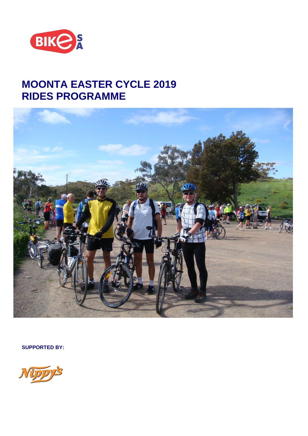

# **MOONTA EASTER CYCLE 2019 RIDES PROGRAMME**



**SUPPORTED BY:**

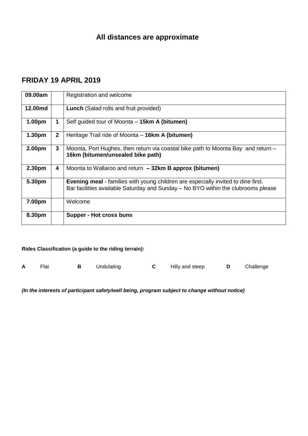# **FRIDAY 19 APRIL 2019**

| 09.00am            |                | Registration and welcome                                                                                                                                                      |
|--------------------|----------------|-------------------------------------------------------------------------------------------------------------------------------------------------------------------------------|
| 12.00md            |                | <b>Lunch</b> (Salad rolls and fruit provided)                                                                                                                                 |
| 1.00pm             | 1              | Self guided tour of Moonta – 15km A (bitumen)                                                                                                                                 |
| 1.30 <sub>pm</sub> | $\overline{2}$ | Heritage Trail ride of Moonta – 16km A (bitumen)                                                                                                                              |
| 2.00pm             | 3              | Moonta, Port Hughes, then return via coastal bike path to Moonta Bay and return –<br>16km (bitumen/unsealed bike path)                                                        |
| 2.30pm             | 4              | Moonta to Wallaroo and return - 32km B approx (bitumen)                                                                                                                       |
| 5.30pm             |                | <b>Evening meal</b> - families with young children are especially invited to dine first.<br>Bar facilities available Saturday and Sunday – No BYO within the clubrooms please |
| 7.00pm             |                | Welcome                                                                                                                                                                       |
| 8.30pm             |                | Supper - Hot cross buns                                                                                                                                                       |

### **Rides Classification (a guide to the riding terrain):**

|  | Flat |  | Undulating |  | Hilly and steep |  | Challenge |
|--|------|--|------------|--|-----------------|--|-----------|
|--|------|--|------------|--|-----------------|--|-----------|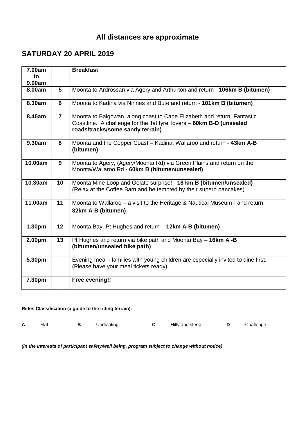# **SATURDAY 20 APRIL 2019**

| 7.00am<br>to |                 | <b>Breakfast</b>                                                                                                                                                                     |
|--------------|-----------------|--------------------------------------------------------------------------------------------------------------------------------------------------------------------------------------|
| 9.00am       |                 |                                                                                                                                                                                      |
| 8.00am       | $5\phantom{.0}$ | Moonta to Ardrossan via Agery and Arthurton and return - 106km B (bitumen)                                                                                                           |
| 8.30am       | 6               | Moonta to Kadina via Ninnes and Bute and return - 101km B (bitumen)                                                                                                                  |
| 8.45am       | $\overline{7}$  | Moonta to Balgowan, along coast to Cape Elizabeth and return. Fantastic<br>Coastline. A challenge for the 'fat tyre' lovers - 60km B-D (unsealed<br>roads/tracks/some sandy terrain) |
| 9.30am       | 8               | Moonta and the Copper Coast - Kadina, Wallaroo and return - 43km A-B<br>(bitumen)                                                                                                    |
| 10.00am      | 9               | Moonta to Agery, (Agery/Moonta Rd) via Green Plains and return on the<br>Moonta/Wallaroo Rd - 60km B (bitumen/unsealed)                                                              |
| 10.30am      | 10              | Moonta Mine Loop and Gelato surprise! - 18 km B (bitumen/unsealed)<br>(Relax at the Coffee Barn and be tempted by their superb pancakes)                                             |
| 11.00am      | 11              | Moonta to Wallaroo – a visit to the Heritage & Nautical Museum - and return<br>32km A-B (bitumen)                                                                                    |
| 1.30pm       | 12              | Moonta Bay, Pt Hughes and return - 12km A-B (bitumen)                                                                                                                                |
| 2.00pm       | 13              | Pt Hughes and return via bike path and Moonta Bay $-$ 16km A -B<br>(bitumen/unsealed bike path)                                                                                      |
| 5.30pm       |                 | Evening meal - families with young children are especially invited to dine first.<br>(Please have your meal tickets ready)                                                           |
| 7.30pm       |                 | Free evening!!                                                                                                                                                                       |

#### **Rides Classification (a guide to the riding terrain):**

| $\mathsf{A}$ | Flat |  | Undulating |  | Hilly and steep |  | Challenge |
|--------------|------|--|------------|--|-----------------|--|-----------|
|--------------|------|--|------------|--|-----------------|--|-----------|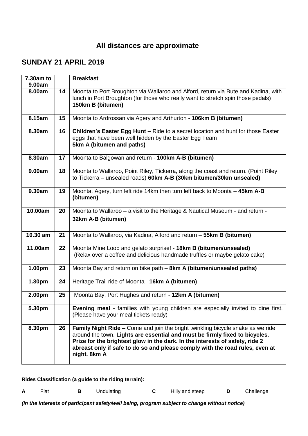### **SUNDAY 21 APRIL 2019**

| 7.30am to<br>9.00am |    | <b>Breakfast</b>                                                                                                                                                                                                                                                                                                                                      |
|---------------------|----|-------------------------------------------------------------------------------------------------------------------------------------------------------------------------------------------------------------------------------------------------------------------------------------------------------------------------------------------------------|
| 8.00am              | 14 | Moonta to Port Broughton via Wallaroo and Alford, return via Bute and Kadina, with<br>lunch in Port Broughton (for those who really want to stretch spin those pedals)<br>150km B (bitumen)                                                                                                                                                           |
| 8.15am              | 15 | Moonta to Ardrossan via Agery and Arthurton - 106km B (bitumen)                                                                                                                                                                                                                                                                                       |
| 8.30am              | 16 | Children's Easter Egg Hunt - Ride to a secret location and hunt for those Easter<br>eggs that have been well hidden by the Easter Egg Team<br>5km A (bitumen and paths)                                                                                                                                                                               |
| 8.30am              | 17 | Moonta to Balgowan and return - 100km A-B (bitumen)                                                                                                                                                                                                                                                                                                   |
| 9.00am              | 18 | Moonta to Wallaroo, Point Riley, Tickerra, along the coast and return. (Point Riley<br>to Tickerra - unsealed roads) 60km A-B (30km bitumen/30km unsealed)                                                                                                                                                                                            |
| 9.30am              | 19 | Moonta, Agery, turn left ride 14km then turn left back to Moonta - 45km A-B<br>(bitumen)                                                                                                                                                                                                                                                              |
| 10.00am             | 20 | Moonta to Wallaroo – a visit to the Heritage & Nautical Museum - and return -<br>32km A-B (bitumen)                                                                                                                                                                                                                                                   |
| 10.30 am            | 21 | Moonta to Wallaroo, via Kadina, Alford and return - 55km B (bitumen)                                                                                                                                                                                                                                                                                  |
| 11.00am             | 22 | Moonta Mine Loop and gelato surprise! - 18km B (bitumen/unsealed)<br>(Relax over a coffee and delicious handmade truffles or maybe gelato cake)                                                                                                                                                                                                       |
| 1.00pm              | 23 | Moonta Bay and return on bike path - 8km A (bitumen/unsealed paths)                                                                                                                                                                                                                                                                                   |
| 1.30pm              | 24 | Heritage Trail ride of Moonta -16km A (bitumen)                                                                                                                                                                                                                                                                                                       |
| 2.00pm              | 25 | Moonta Bay, Port Hughes and return - 12km A (bitumen)                                                                                                                                                                                                                                                                                                 |
| 5.30pm              |    | Evening meal - families with young children are especially invited to dine first.<br>(Please have your meal tickets ready)                                                                                                                                                                                                                            |
| 8.30pm              | 26 | <b>Family Night Ride – Come and join the bright twinkling bicycle snake as we ride</b><br>around the town. Lights are essential and must be firmly fixed to bicycles.<br>Prize for the brightest glow in the dark. In the interests of safety, ride 2<br>abreast only if safe to do so and please comply with the road rules, even at<br>night. 8km A |

**Rides Classification (a guide to the riding terrain):**

|  | Flat |  | Undulating |  | Hilly and steep |  | Challenge |
|--|------|--|------------|--|-----------------|--|-----------|
|--|------|--|------------|--|-----------------|--|-----------|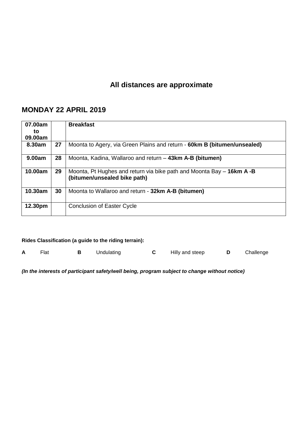## **MONDAY 22 APRIL 2019**

| 07.00am<br>to<br>09.00am |    | <b>Breakfast</b>                                                                                      |
|--------------------------|----|-------------------------------------------------------------------------------------------------------|
| 8.30am                   | 27 | Moonta to Agery, via Green Plains and return - 60km B (bitumen/unsealed)                              |
| 9.00am                   | 28 | Moonta, Kadina, Wallaroo and return - 43km A-B (bitumen)                                              |
| 10.00am                  | 29 | Moonta, Pt Hughes and return via bike path and Moonta Bay – 16km A -B<br>(bitumen/unsealed bike path) |
| 10.30am                  | 30 | Moonta to Wallaroo and return - 32km A-B (bitumen)                                                    |
| 12.30pm                  |    | <b>Conclusion of Easter Cycle</b>                                                                     |

| Rides Classification (a guide to the riding terrain): |      |   |            |    |                 |   |           |
|-------------------------------------------------------|------|---|------------|----|-----------------|---|-----------|
|                                                       | Flat | В | Undulating | C. | Hilly and steep | D | Challenge |